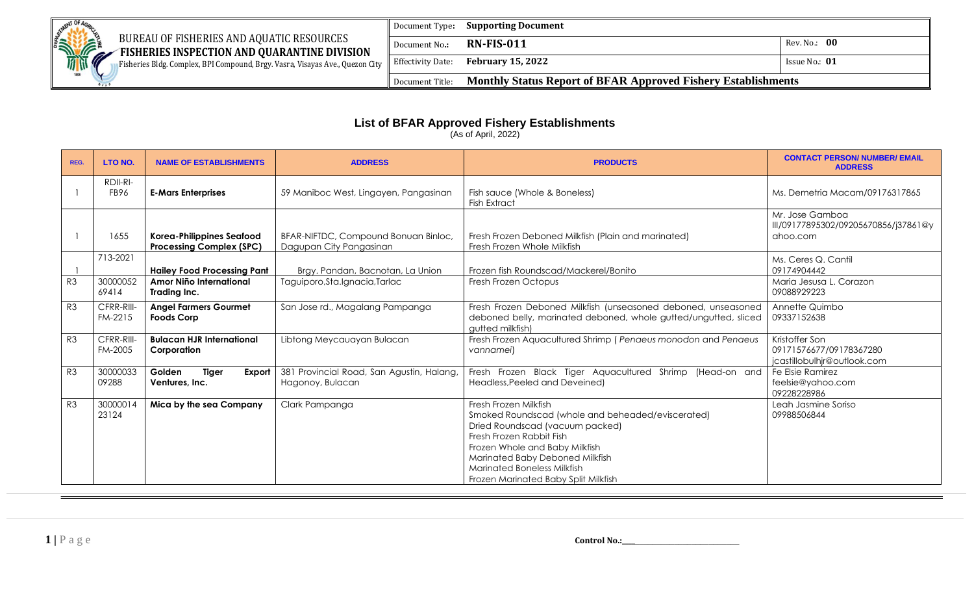

### BUREAU OF FISHERIES AND AQUATIC RESOURCES

Document Type**: Supporting Document**

**EXAMPLE FISHERIES INSPECTION AND QUARANTINE DIVISION** Fisheries Bldg. Complex, BPI Compound, Brgy. Vasra, Visayas Ave., Quezon City

Document No**.: RN-FIS-011** Rev. No.: **00 Effectivity Date: February 15, 2022 ISSUE NO.: 01 ISSUE NO.: 01** Document Title: **Monthly Status Report of BFAR Approved Fishery Establishments**

### **List of BFAR Approved Fishery Establishments**

(As of April, 2022)

| REG.           | <b>LTO NO.</b>        | <b>NAME OF ESTABLISHMENTS</b>                                       | <b>ADDRESS</b>                                                  | <b>PRODUCTS</b>                                                                                                                                                                                                                                                                       | <b>CONTACT PERSON/ NUMBER/ EMAIL</b><br><b>ADDRESS</b>                   |
|----------------|-----------------------|---------------------------------------------------------------------|-----------------------------------------------------------------|---------------------------------------------------------------------------------------------------------------------------------------------------------------------------------------------------------------------------------------------------------------------------------------|--------------------------------------------------------------------------|
|                | RDII-RI-<br>FB96      | <b>E-Mars Enterprises</b>                                           | 59 Maniboc West, Lingayen, Pangasinan                           | Fish sauce (Whole & Boneless)<br><b>Fish Extract</b>                                                                                                                                                                                                                                  | Ms. Demetria Macam/09176317865                                           |
|                | 1655                  | <b>Korea-Philippines Seafood</b><br><b>Processing Complex (SPC)</b> | BFAR-NIFTDC, Compound Bonuan Binloc,<br>Dagupan City Pangasinan | Fresh Frozen Deboned Milkfish (Plain and marinated)<br>Fresh Frozen Whole Milkfish                                                                                                                                                                                                    | Mr. Jose Gamboa<br>III/09177895302/09205670856/j37861@y<br>ahoo.com      |
|                | 713-2021              | <b>Hailey Food Processing Pant</b>                                  | Brgy. Pandan, Bacnotan, La Union                                | Frozen fish Roundscad/Mackerel/Bonito                                                                                                                                                                                                                                                 | Ms. Ceres Q. Cantil<br>09174904442                                       |
| R <sub>3</sub> | 30000052<br>69414     | Amor Niño International<br>Trading Inc.                             | Taguiporo, Sta. Ignacia, Tarlac                                 | Fresh Frozen Octopus                                                                                                                                                                                                                                                                  | Maria Jesusa L. Corazon<br>09088929223                                   |
| R3             | CFRR-RIII-<br>FM-2215 | <b>Angel Farmers Gourmet</b><br><b>Foods Corp</b>                   | San Jose rd., Magalang Pampanga                                 | Fresh Frozen Deboned Milkfish (unseasoned deboned, unseasoned<br>deboned belly, marinated deboned, whole gutted/ungutted, sliced<br>gutted milkfish)                                                                                                                                  | Annette Quimbo<br>09337152638                                            |
| R <sub>3</sub> | CFRR-RIII-<br>FM-2005 | <b>Bulacan HJR International</b><br>Corporation                     | Libtong Meycauayan Bulacan                                      | Fresh Frozen Aquacultured Shrimp (Penaeus monodon and Penaeus<br>vannamei)                                                                                                                                                                                                            | Kristoffer Son<br>09171576677/09178367280<br>jcastillobulhjr@outlook.com |
| R3             | 30000033<br>09288     | Golden<br><b>Tiger</b><br>Export<br>Ventures, Inc.                  | 381 Provincial Road, San Agustin, Halang,<br>Hagonoy, Bulacan   | Fresh Frozen Black Tiger Aquacultured Shrimp (Head-on and<br>Headless, Peeled and Deveined)                                                                                                                                                                                           | Fe Elsie Ramirez<br>feelsie@yahoo.com<br>09228228986                     |
| R <sub>3</sub> | 30000014<br>23124     | Mica by the sea Company                                             | Clark Pampanga                                                  | Fresh Frozen Milkfish<br>Smoked Roundscad (whole and beheaded/eviscerated)<br>Dried Roundscad (vacuum packed)<br>Fresh Frozen Rabbit Fish<br>Frozen Whole and Baby Milkfish<br>Marinated Baby Deboned Milkfish<br>Marinated Boneless Milkfish<br>Frozen Marinated Baby Split Milkfish | Leah Jasmine Soriso<br>09988506844                                       |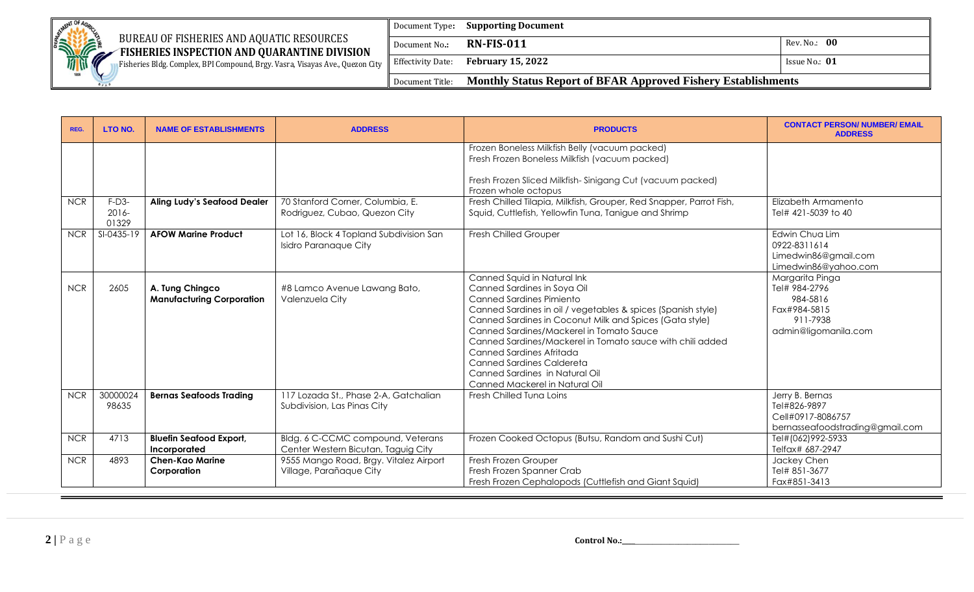

Fisheries Bldg. Complex, BPI Compound, Brgy. Vasra, Visayas Ave., Quezon City

Document Type**: Supporting Document** Document No**.: RN-FIS-011** Rev. No.: **00**  Effectivity Date: **February 15, 2022 ISSUE NO.: 01 ISSUE NO.: 01** Document Title: **Monthly Status Report of BFAR Approved Fishery Establishments**

| REG.       | LTO NO.                      | <b>NAME OF ESTABLISHMENTS</b>                       | <b>ADDRESS</b>                                                           | <b>PRODUCTS</b>                                                                                                                                                                                                                                                                                                                                                                                                                                                       | <b>CONTACT PERSON/ NUMBER/ EMAIL</b><br><b>ADDRESS</b>                                           |
|------------|------------------------------|-----------------------------------------------------|--------------------------------------------------------------------------|-----------------------------------------------------------------------------------------------------------------------------------------------------------------------------------------------------------------------------------------------------------------------------------------------------------------------------------------------------------------------------------------------------------------------------------------------------------------------|--------------------------------------------------------------------------------------------------|
|            |                              |                                                     |                                                                          | Frozen Boneless Milkfish Belly (vacuum packed)<br>Fresh Frozen Boneless Milkfish (vacuum packed)<br>Fresh Frozen Sliced Milkfish-Sinigang Cut (vacuum packed)<br>Frozen whole octopus                                                                                                                                                                                                                                                                                 |                                                                                                  |
| <b>NCR</b> | $F-D3-$<br>$2016 -$<br>01329 | <b>Aling Ludy's Seafood Dealer</b>                  | 70 Stanford Corner, Columbia, E.<br>Rodriguez, Cubao, Quezon City        | Fresh Chilled Tilapia, Milkfish, Grouper, Red Snapper, Parrot Fish,<br>Squid, Cuttlefish, Yellowfin Tuna, Tanigue and Shrimp                                                                                                                                                                                                                                                                                                                                          | Elizabeth Armamento<br>Tel# 421-5039 to 40                                                       |
| <b>NCR</b> | SI-0435-19                   | <b>AFOW Marine Product</b>                          | Lot 16, Block 4 Topland Subdivision San<br><b>Isidro Paranaque City</b>  | <b>Fresh Chilled Grouper</b>                                                                                                                                                                                                                                                                                                                                                                                                                                          | Edwin Chua Lim<br>0922-8311614<br>Limedwin86@gmail.com<br>Limedwin86@yahoo.com                   |
| <b>NCR</b> | 2605                         | A. Tung Chingco<br><b>Manufacturing Corporation</b> | #8 Lamco Avenue Lawang Bato,<br>Valenzuela City                          | Canned Squid in Natural Ink<br>Canned Sardines in Soya Oil<br><b>Canned Sardines Pimiento</b><br>Canned Sardines in oil / vegetables & spices (Spanish style)<br>Canned Sardines in Coconut Milk and Spices (Gata style)<br>Canned Sardines/Mackerel in Tomato Sauce<br>Canned Sardines/Mackerel in Tomato sauce with chili added<br>Canned Sardines Afritada<br><b>Canned Sardines Caldereta</b><br>Canned Sardines in Natural Oil<br>Canned Mackerel in Natural Oil | Margarita Pinga<br>Tel# 984-2796<br>984-5816<br>Fax#984-5815<br>911-7938<br>admin@ligomanila.com |
| <b>NCR</b> | 30000024<br>98635            | <b>Bernas Seafoods Trading</b>                      | 117 Lozada St., Phase 2-A, Gatchalian<br>Subdivision, Las Pinas City     | Fresh Chilled Tuna Loins                                                                                                                                                                                                                                                                                                                                                                                                                                              | Jerry B. Bernas<br>Tel#826-9897<br>Cell#0917-8086757<br>bernasseafoodstrading@gmail.com          |
| <b>NCR</b> | 4713                         | <b>Bluefin Seafood Export,</b><br>Incorporated      | Bldg. 6 C-CCMC compound, Veterans<br>Center Western Bicutan, Taguig City | Frozen Cooked Octopus (Butsu, Random and Sushi Cut)                                                                                                                                                                                                                                                                                                                                                                                                                   | Tel#(062)992-5933<br>Telfax# 687-2947                                                            |
| <b>NCR</b> | 4893                         | <b>Chen-Kao Marine</b><br>Corporation               | 9555 Mango Road, Brgy. Vitalez Airport<br>Village, Parañaque City        | Fresh Frozen Grouper<br>Fresh Frozen Spanner Crab<br>Fresh Frozen Cephalopods (Cuttlefish and Giant Squid)                                                                                                                                                                                                                                                                                                                                                            | Jackey Chen<br>Tel# 851-3677<br>Fax#851-3413                                                     |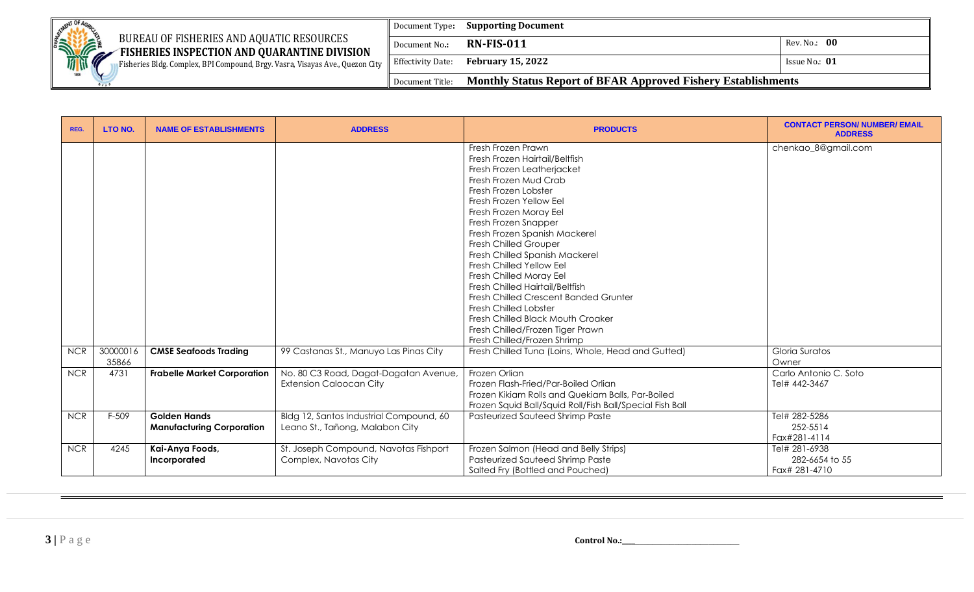|  | MENT OF<br>BUREAU OF FISHERIES AND AQUATIC RESOURCES<br><b>SERVICE STATE</b><br>FISHERIES INSPECTION AND QUARANTINE DIVISION | Document Type:           | <b>Supporting Document</b>                                           |                     |
|--|------------------------------------------------------------------------------------------------------------------------------|--------------------------|----------------------------------------------------------------------|---------------------|
|  |                                                                                                                              | Document No.:            | <b>RN-FIS-011</b>                                                    | Rev. No.: 00        |
|  | Fisheries Bldg. Complex, BPI Compound, Brgy. Vasra, Visayas Ave., Quezon City                                                | <b>Effectivity Date:</b> | <b>February 15, 2022</b>                                             | Issue No.: $\bf 01$ |
|  | 1898                                                                                                                         | Document Title:          | <b>Monthly Status Report of BFAR Approved Fishery Establishments</b> |                     |

| REG.       | LTO NO.           | <b>NAME OF ESTABLISHMENTS</b>                           | <b>ADDRESS</b>                                                             | <b>PRODUCTS</b>                                                                                                                                                                                                                                                                                                                                                                                                                                                                                                                                                                                       | <b>CONTACT PERSON/ NUMBER/ EMAIL</b><br><b>ADDRESS</b> |
|------------|-------------------|---------------------------------------------------------|----------------------------------------------------------------------------|-------------------------------------------------------------------------------------------------------------------------------------------------------------------------------------------------------------------------------------------------------------------------------------------------------------------------------------------------------------------------------------------------------------------------------------------------------------------------------------------------------------------------------------------------------------------------------------------------------|--------------------------------------------------------|
|            |                   |                                                         |                                                                            | Fresh Frozen Prawn<br>Fresh Frozen Hairtail/Beltfish<br>Fresh Frozen Leatherjacket<br>Fresh Frozen Mud Crab<br>Fresh Frozen Lobster<br>Fresh Frozen Yellow Eel<br>Fresh Frozen Moray Eel<br>Fresh Frozen Snapper<br>Fresh Frozen Spanish Mackerel<br><b>Fresh Chilled Grouper</b><br>Fresh Chilled Spanish Mackerel<br><b>Fresh Chilled Yellow Eel</b><br>Fresh Chilled Moray Eel<br>Fresh Chilled Hairtail/Beltfish<br>Fresh Chilled Crescent Banded Grunter<br><b>Fresh Chilled Lobster</b><br>Fresh Chilled Black Mouth Croaker<br>Fresh Chilled/Frozen Tiger Prawn<br>Fresh Chilled/Frozen Shrimp | chenkao_8@gmail.com                                    |
| <b>NCR</b> | 30000016<br>35866 | <b>CMSE Seafoods Trading</b>                            | 99 Castanas St., Manuyo Las Pinas City                                     | Fresh Chilled Tuna (Loins, Whole, Head and Gutted)                                                                                                                                                                                                                                                                                                                                                                                                                                                                                                                                                    | Gloria Suratos<br>Owner                                |
| <b>NCR</b> | 4731              | <b>Frabelle Market Corporation</b>                      | No. 80 C3 Road, Dagat-Dagatan Avenue,<br><b>Extension Caloocan City</b>    | Frozen Orlian<br>Frozen Flash-Fried/Par-Boiled Orlian<br>Frozen Kikiam Rolls and Quekiam Balls, Par-Boiled<br>Frozen Squid Ball/Squid Roll/Fish Ball/Special Fish Ball                                                                                                                                                                                                                                                                                                                                                                                                                                | Carlo Antonio C. Soto<br>Tel# 442-3467                 |
| <b>NCR</b> | F-509             | <b>Golden Hands</b><br><b>Manufacturing Corporation</b> | Bldg 12, Santos Industrial Compound, 60<br>Leano St., Tañong, Malabon City | Pasteurized Sauteed Shrimp Paste                                                                                                                                                                                                                                                                                                                                                                                                                                                                                                                                                                      | Tel# 282-5286<br>252-5514<br>Fax#281-4114              |
| <b>NCR</b> | 4245              | Kai-Anya Foods,<br>Incorporated                         | St. Joseph Compound, Navotas Fishport<br>Complex, Navotas City             | Frozen Salmon (Head and Belly Strips)<br>Pasteurized Sauteed Shrimp Paste<br>Salted Fry (Bottled and Pouched)                                                                                                                                                                                                                                                                                                                                                                                                                                                                                         | Tel# 281-6938<br>282-6654 to 55<br>Fax# 281-4710       |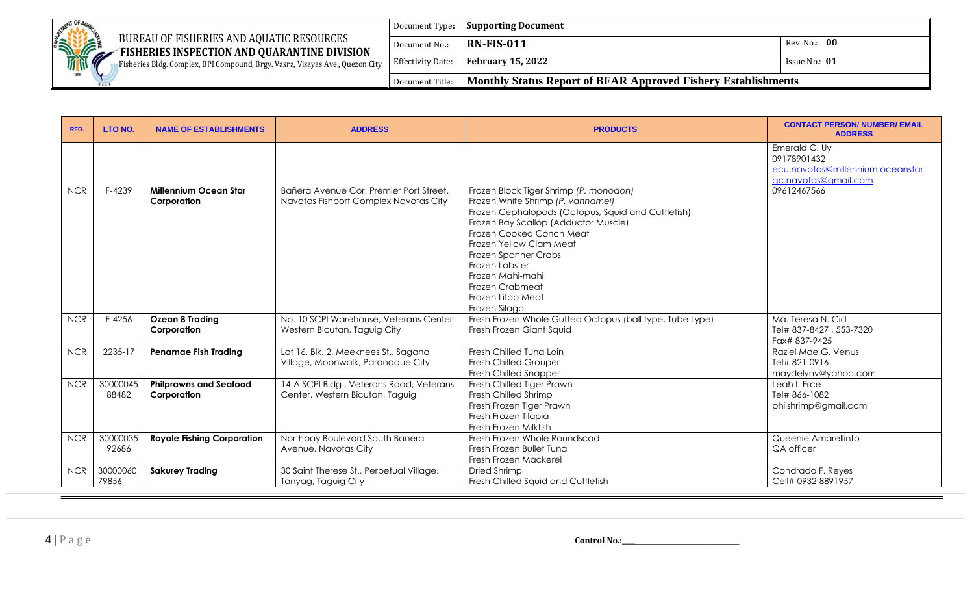

Fisheries Bldg. Complex, BPI Compound, Brgy. Vasra, Visayas Ave., Quezon City

Document Type**: Supporting Document** Document No**.: RN-FIS-011** Rev. No.: **00**  Effectivity Date: **February 15, 2022 ISSUE NO.: 01 ISSUE NO.: 01** Document Title: **Monthly Status Report of BFAR Approved Fishery Establishments**

| REG.       | LTO NO.           | <b>NAME OF ESTABLISHMENTS</b>                | <b>ADDRESS</b>                                                                   | <b>PRODUCTS</b>                                                                                                                                                                                                                                                                                                                                         | <b>CONTACT PERSON/ NUMBER/ EMAIL</b><br><b>ADDRESS</b>                                                  |
|------------|-------------------|----------------------------------------------|----------------------------------------------------------------------------------|---------------------------------------------------------------------------------------------------------------------------------------------------------------------------------------------------------------------------------------------------------------------------------------------------------------------------------------------------------|---------------------------------------------------------------------------------------------------------|
| <b>NCR</b> | F-4239            | Millennium Ocean Star<br>Corporation         | Bañera Avenue Cor. Premier Port Street.<br>Navotas Fishport Complex Navotas City | Frozen Block Tiger Shrimp (P. monodon)<br>Frozen White Shrimp (P. vannamei)<br>Frozen Cephalopods (Octopus, Squid and Cuttlefish)<br>Frozen Bay Scallop (Adductor Muscle)<br>Frozen Cooked Conch Meat<br>Frozen Yellow Clam Meat<br>Frozen Spanner Crabs<br>Frozen Lobster<br>Frozen Mahi-mahi<br>Frozen Crabmeat<br>Frozen Litob Meat<br>Frozen Silago | Emerald C. Uy<br>09178901432<br>ecu.navotas@millennium.oceanstar<br>gc.navotas@gmail.com<br>09612467566 |
| <b>NCR</b> | F-4256            | <b>Ozean 8 Trading</b><br>Corporation        | No. 10 SCPI Warehouse, Veterans Center<br>Western Bicutan, Taguig City           | Fresh Frozen Whole Gutted Octopus (ball type, Tube-type)<br>Fresh Frozen Giant Squid                                                                                                                                                                                                                                                                    | Ma. Teresa N. Cid<br>Tel# 837-8427, 553-7320<br>Fax# 837-9425                                           |
| <b>NCR</b> | 2235-17           | <b>Penamae Fish Trading</b>                  | Lot 16, Blk. 2, Meeknees St., Sagana<br>Village, Moonwalk, Paranaque City        | Fresh Chilled Tuna Loin<br><b>Fresh Chilled Grouper</b><br>Fresh Chilled Snapper                                                                                                                                                                                                                                                                        | Raziel Mae G. Venus<br>Tel# 821-0916<br>maydelynv@yahoo.com                                             |
| <b>NCR</b> | 30000045<br>88482 | <b>Philprawns and Seafood</b><br>Corporation | 14-A SCPI Bldg., Veterans Road, Veterans<br>Center, Western Bicutan, Taguig      | Fresh Chilled Tiger Prawn<br>Fresh Chilled Shrimp<br>Fresh Frozen Tiger Prawn<br>Fresh Frozen Tilapia<br>Fresh Frozen Milkfish                                                                                                                                                                                                                          | Leah I. Erce<br>Tel# 866-1082<br>philshrimp@gmail.com                                                   |
| <b>NCR</b> | 30000035<br>92686 | <b>Royale Fishing Corporation</b>            | Northbay Boulevard South Banera<br>Avenue, Navotas City                          | Fresh Frozen Whole Roundscad<br>Fresh Frozen Bullet Tung<br>Fresh Frozen Mackerel                                                                                                                                                                                                                                                                       | Queenie Amarellinto<br>QA officer                                                                       |
| <b>NCR</b> | 30000060<br>79856 | <b>Sakurey Trading</b>                       | 30 Saint Therese St., Perpetual Village,<br>Tanyag, Taguig City                  | Dried Shrimp<br>Fresh Chilled Squid and Cuttlefish                                                                                                                                                                                                                                                                                                      | Condrado F. Reyes<br>Cell# 0932-8891957                                                                 |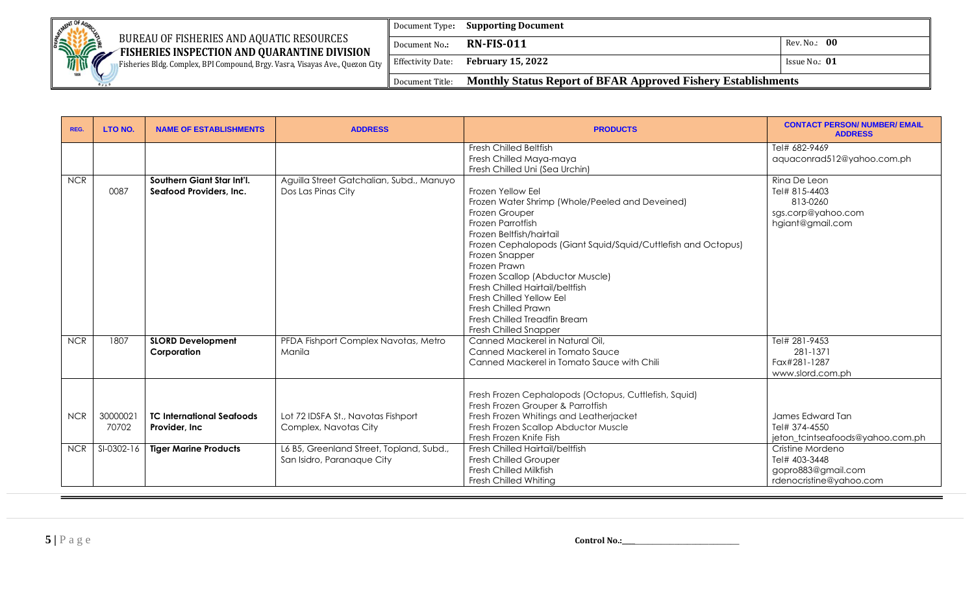

Fisheries Bldg. Complex, BPI Compound, Brgy. Vasra, Visayas Ave., Quezon City

Document Type**: Supporting Document** Document No**.: RN-FIS-011** Rev. No.: **00**  Effectivity Date: **February 15, 2022 ISSUE NO.: 01 ISSUE NO.: 01** Document Title: **Monthly Status Report of BFAR Approved Fishery Establishments**

| REG.       | LTO NO.           | <b>NAME OF ESTABLISHMENTS</b>                         | <b>ADDRESS</b>                                                         | <b>PRODUCTS</b>                                                                                                                                                                                                                                                                                                                                                                                                                                    | <b>CONTACT PERSON/ NUMBER/ EMAIL</b><br><b>ADDRESS</b>                              |
|------------|-------------------|-------------------------------------------------------|------------------------------------------------------------------------|----------------------------------------------------------------------------------------------------------------------------------------------------------------------------------------------------------------------------------------------------------------------------------------------------------------------------------------------------------------------------------------------------------------------------------------------------|-------------------------------------------------------------------------------------|
|            |                   |                                                       |                                                                        | <b>Fresh Chilled Beltfish</b><br>Fresh Chilled Maya-maya<br>Fresh Chilled Uni (Sea Urchin)                                                                                                                                                                                                                                                                                                                                                         | Tel# 682-9469<br>aquaconrad512@yahoo.com.ph                                         |
| <b>NCR</b> | 0087              | Southern Giant Star Int'l.<br>Seafood Providers, Inc. | Aguilla Street Gatchalian, Subd., Manuyo<br>Dos Las Pinas City         | Frozen Yellow Eel<br>Frozen Water Shrimp (Whole/Peeled and Deveined)<br>Frozen Grouper<br>Frozen Parrotfish<br>Frozen Beltfish/hairtail<br>Frozen Cephalopods (Giant Squid/Squid/Cuttlefish and Octopus)<br>Frozen Snapper<br>Frozen Prawn<br>Frozen Scallop (Abductor Muscle)<br>Fresh Chilled Hairtail/beltfish<br><b>Fresh Chilled Yellow Eel</b><br><b>Fresh Chilled Prawn</b><br>Fresh Chilled Treadfin Bream<br><b>Fresh Chilled Snapper</b> | Ring De Leon<br>Tel# 815-4403<br>813-0260<br>sgs.corp@yahoo.com<br>hgiant@gmail.com |
| <b>NCR</b> | 1807              | <b>SLORD Development</b><br>Corporation               | PFDA Fishport Complex Navotas, Metro<br>Manila                         | Canned Mackerel in Natural Oil,<br>Canned Mackerel in Tomato Sauce<br>Canned Mackerel in Tomato Sauce with Chili                                                                                                                                                                                                                                                                                                                                   | Tel# 281-9453<br>281-1371<br>Fax#281-1287<br>www.slord.com.ph                       |
| <b>NCR</b> | 30000021<br>70702 | <b>TC International Seafoods</b><br>Provider, Inc.    | Lot 72 IDSFA St., Navotas Fishport<br>Complex, Navotas City            | Fresh Frozen Cephalopods (Octopus, Cuttlefish, Squid)<br>Fresh Frozen Grouper & Parrotfish<br>Fresh Frozen Whitings and Leatherjacket<br>Fresh Frozen Scallop Abductor Muscle<br>Fresh Frozen Knife Fish                                                                                                                                                                                                                                           | James Edward Tan<br>Tel# 374-4550<br>jeton_tcintseafoods@yahoo.com.ph               |
| <b>NCR</b> | SI-0302-16        | <b>Tiger Marine Products</b>                          | L6 B5, Greenland Street, Topland, Subd.,<br>San Isidro, Paranaque City | Fresh Chilled Hairtail/beltfish<br><b>Fresh Chilled Grouper</b><br><b>Fresh Chilled Milkfish</b><br>Fresh Chilled Whiting                                                                                                                                                                                                                                                                                                                          | Cristine Mordeno<br>Tel# 403-3448<br>gopro883@gmail.com<br>rdenocristine@yahoo.com  |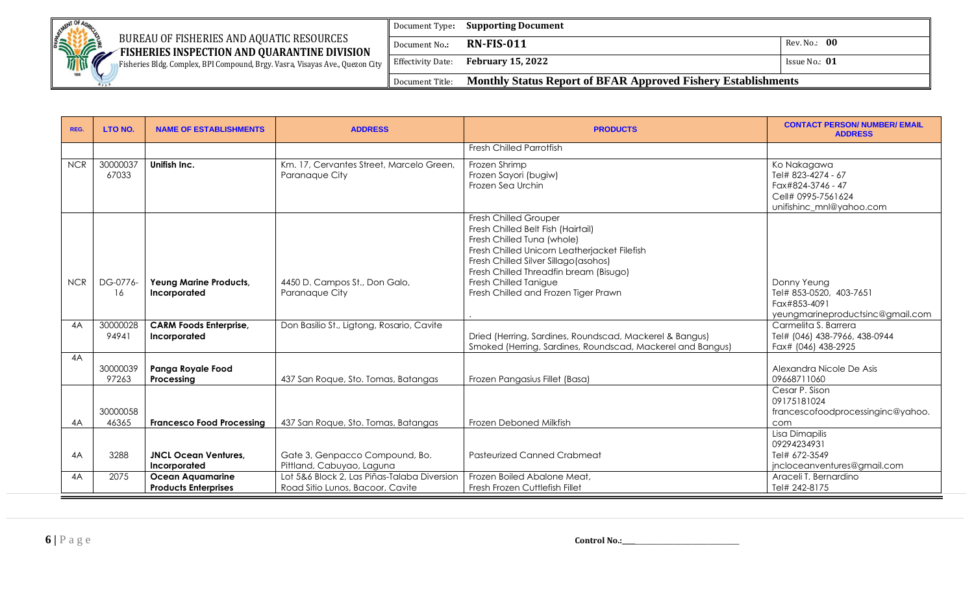

Fisheries Bldg. Complex, BPI Compound, Brgy. Vasra, Visayas Ave., Quezon City

Document Type**: Supporting Document** Document No**.: RN-FIS-011** Rev. No.: **00**  Effectivity Date: **February 15, 2022 ISSUE NO.: 01 ISSUE NO.: 01** Document Title: **Monthly Status Report of BFAR Approved Fishery Establishments**

| REG.       | LTO NO.           | <b>NAME OF ESTABLISHMENTS</b>                          | <b>ADDRESS</b>                                                                  | <b>PRODUCTS</b>                                                                                                                                                                                                                                                                                      | <b>CONTACT PERSON/ NUMBER/ EMAIL</b><br><b>ADDRESS</b>                                                   |
|------------|-------------------|--------------------------------------------------------|---------------------------------------------------------------------------------|------------------------------------------------------------------------------------------------------------------------------------------------------------------------------------------------------------------------------------------------------------------------------------------------------|----------------------------------------------------------------------------------------------------------|
|            |                   |                                                        |                                                                                 | <b>Fresh Chilled Parrotfish</b>                                                                                                                                                                                                                                                                      |                                                                                                          |
| <b>NCR</b> | 30000037<br>67033 | Unifish Inc.                                           | Km. 17, Cervantes Street, Marcelo Green,<br>Paranaque City                      | Frozen Shrimp<br>Frozen Sayori (bugiw)<br>Frozen Sea Urchin                                                                                                                                                                                                                                          | Ko Nakagawa<br>Tel# 823-4274 - 67<br>Fax#824-3746 - 47<br>Cell# 0995-7561624<br>unifishinc_mnl@yahoo.com |
| <b>NCR</b> | DG-0776-<br>16    | Yeung Marine Products,<br>Incorporated                 | 4450 D. Campos St., Don Galo,<br>Paranaque City                                 | <b>Fresh Chilled Grouper</b><br>Fresh Chilled Belt Fish (Hairtail)<br>Fresh Chilled Tuna (whole)<br>Fresh Chilled Unicorn Leatherjacket Filefish<br>Fresh Chilled Silver Sillago (asohos)<br>Fresh Chilled Threadfin bream (Bisugo)<br>Fresh Chilled Tanigue<br>Fresh Chilled and Frozen Tiger Prawn | Donny Yeung<br>Tel# 853-0520, 403-7651<br>Fax#853-4091<br>yeungmarineproductsinc@gmail.com               |
| 4A         | 30000028<br>94941 | <b>CARM Foods Enterprise,</b><br>Incorporated          | Don Basilio St., Ligtong, Rosario, Cavite                                       | Dried (Herring, Sardines, Roundscad, Mackerel & Bangus)<br>Smoked (Herring, Sardines, Roundscad, Mackerel and Bangus)                                                                                                                                                                                | Carmelita S. Barrera<br>Tel# (046) 438-7966, 438-0944<br>Fax# (046) 438-2925                             |
| 4A         | 30000039<br>97263 | Panga Royale Food<br>Processing                        | 437 San Roque, Sto. Tomas, Batangas                                             | Frozen Pangasius Fillet (Basa)                                                                                                                                                                                                                                                                       | Alexandra Nicole De Asis<br>09668711060                                                                  |
| 4A         | 30000058<br>46365 | <b>Francesco Food Processing</b>                       | 437 San Roque, Sto. Tomas, Batangas                                             | Frozen Deboned Milkfish                                                                                                                                                                                                                                                                              | Cesar P. Sison<br>09175181024<br>francescofoodprocessinginc@yahoo.<br>com                                |
| 4A         | 3288              | <b>JNCL Ocean Ventures,</b><br>Incorporated            | Gate 3, Genpacco Compound, Bo.<br>Pittland, Cabuyao, Laguna                     | <b>Pasteurized Canned Crabmeat</b>                                                                                                                                                                                                                                                                   | Lisa Dimapilis<br>09294234931<br>Tel# 672-3549<br>jncloceanventures@gmail.com                            |
| 4A         | 2075              | <b>Ocean Aquamarine</b><br><b>Products Enterprises</b> | Lot 5&6 Block 2, Las Piñas-Talaba Diversion<br>Road Sitio Lunos, Bacoor, Cavite | Frozen Boiled Abalone Meat,<br>Fresh Frozen Cuttlefish Fillet                                                                                                                                                                                                                                        | Araceli T. Bernardino<br>Tel# 242-8175                                                                   |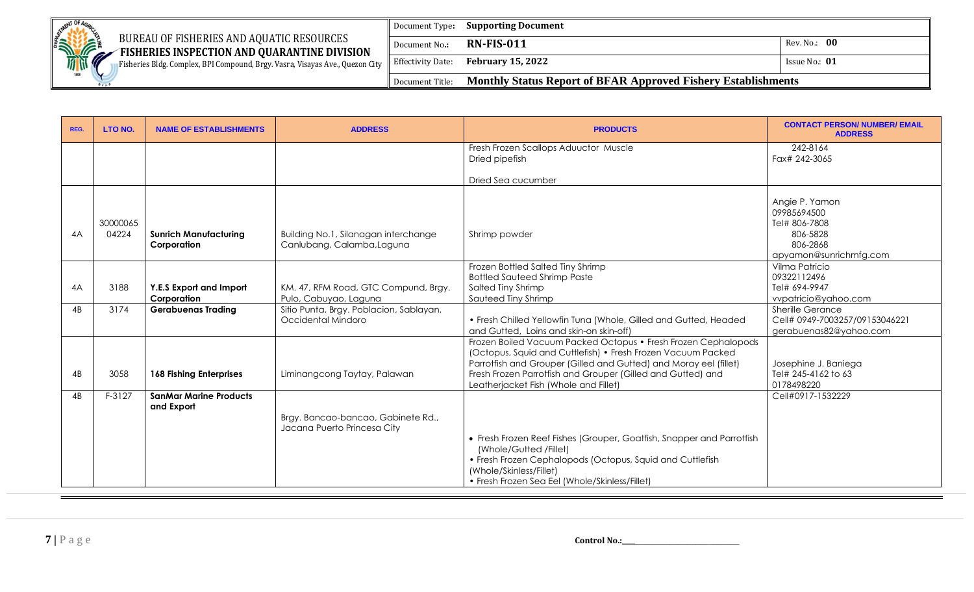

Fisheries Bldg. Complex, BPI Compound, Brgy. Vasra, Visayas Ave., Quezon City

Document Type**: Supporting Document** Document No**.: RN-FIS-011** Rev. No.: **00**  Effectivity Date: **February 15, 2022 ISSUE NO.: 01 ISSUE NO.: 01** Document Title: **Monthly Status Report of BFAR Approved Fishery Establishments**

| REG. | LTO NO.           | <b>NAME OF ESTABLISHMENTS</b>               | <b>ADDRESS</b>                                                     | <b>PRODUCTS</b>                                                                                                                                                                                                                                                                                             | <b>CONTACT PERSON/ NUMBER/ EMAIL</b><br><b>ADDRESS</b>                                           |
|------|-------------------|---------------------------------------------|--------------------------------------------------------------------|-------------------------------------------------------------------------------------------------------------------------------------------------------------------------------------------------------------------------------------------------------------------------------------------------------------|--------------------------------------------------------------------------------------------------|
|      |                   |                                             |                                                                    | Fresh Frozen Scallops Aduuctor Muscle                                                                                                                                                                                                                                                                       | 242-8164                                                                                         |
|      |                   |                                             |                                                                    | Dried pipefish                                                                                                                                                                                                                                                                                              | Fax# 242-3065                                                                                    |
|      |                   |                                             |                                                                    |                                                                                                                                                                                                                                                                                                             |                                                                                                  |
|      |                   |                                             |                                                                    | Dried Sea cucumber                                                                                                                                                                                                                                                                                          |                                                                                                  |
| 4A   | 30000065<br>04224 | <b>Sunrich Manufacturing</b><br>Corporation | Building No.1, Silanagan interchange<br>Canlubang, Calamba, Laguna | Shrimp powder                                                                                                                                                                                                                                                                                               | Angie P. Yamon<br>09985694500<br>Tel# 806-7808<br>806-5828<br>806-2868<br>apyamon@sunrichmfg.com |
|      |                   |                                             |                                                                    | Frozen Bottled Salted Tiny Shrimp                                                                                                                                                                                                                                                                           | Vilma Patricio                                                                                   |
|      |                   |                                             |                                                                    | <b>Bottled Sauteed Shrimp Paste</b>                                                                                                                                                                                                                                                                         | 09322112496                                                                                      |
| 4A   | 3188              | Y.E.S Export and Import                     | KM. 47, RFM Road, GTC Compund, Brgy.                               | Salted Tiny Shrimp                                                                                                                                                                                                                                                                                          | Tel# 694-9947                                                                                    |
|      |                   | Corporation                                 | Pulo, Cabuyao, Laguna                                              | Sauteed Tiny Shrimp                                                                                                                                                                                                                                                                                         | vvpatricio@yahoo.com                                                                             |
| 4B   | 3174              | <b>Gerabuenas Trading</b>                   | Sitio Punta, Brgy. Poblacion, Sablayan,<br>Occidental Mindoro      | • Fresh Chilled Yellowfin Tuna (Whole, Gilled and Gutted, Headed<br>and Gutted, Loins and skin-on skin-off)                                                                                                                                                                                                 | <b>Sherille Gerance</b><br>Cell# 0949-7003257/09153046221<br>gerabuenas82@yahoo.com              |
| 4B   | 3058              | <b>168 Fishing Enterprises</b>              | Liminangcong Taytay, Palawan                                       | Frozen Boiled Vacuum Packed Octopus • Fresh Frozen Cephalopods<br>(Octopus, Squid and Cuttlefish) • Fresh Frozen Vacuum Packed<br>Parrotfish and Grouper (Gilled and Gutted) and Moray eel (fillet)<br>Fresh Frozen Parrotfish and Grouper (Gilled and Gutted) and<br>Leatherjacket Fish (Whole and Fillet) | Josephine J. Baniega<br>Tel# 245-4162 to 63<br>0178498220                                        |
| 4B   | F-3127            | <b>SanMar Marine Products</b>               |                                                                    |                                                                                                                                                                                                                                                                                                             | Cell#0917-1532229                                                                                |
|      |                   | and Export                                  | Brgy. Bancao-bancao, Gabinete Rd.,                                 |                                                                                                                                                                                                                                                                                                             |                                                                                                  |
|      |                   |                                             | Jacana Puerto Princesa City                                        |                                                                                                                                                                                                                                                                                                             |                                                                                                  |
|      |                   |                                             |                                                                    | • Fresh Frozen Reef Fishes (Grouper, Goatfish, Snapper and Parrotfish<br>(Whole/Gutted /Fillet)<br>• Fresh Frozen Cephalopods (Octopus, Squid and Cuttlefish<br>(Whole/Skinless/Fillet)<br>• Fresh Frozen Sea Eel (Whole/Skinless/Fillet)                                                                   |                                                                                                  |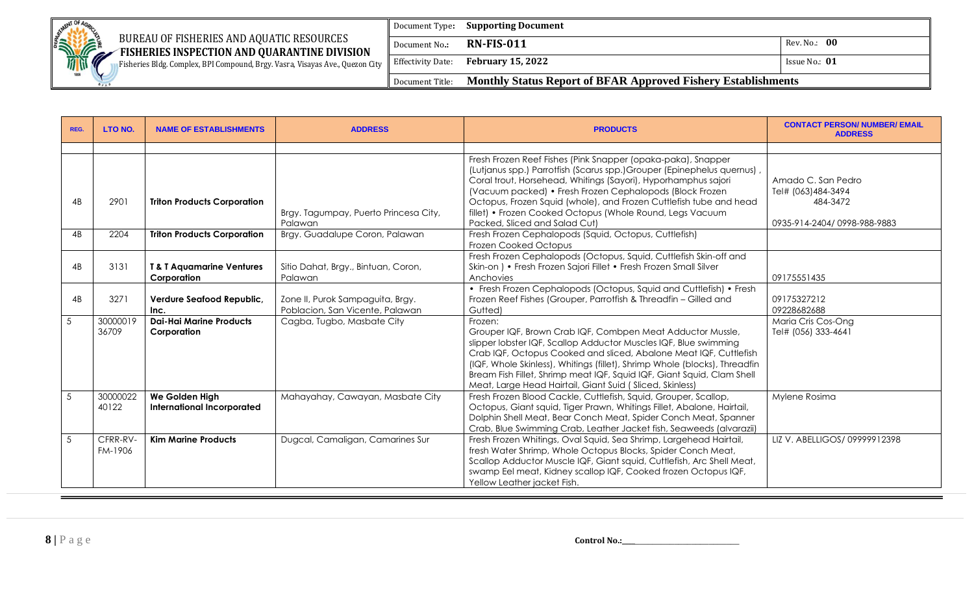

## BUREAU OF FISHERIES AND AQUATIC RESOURCES

Document Type**: Supporting Document**

**EXAMPLE FISHERIES INSPECTION AND QUARANTINE DIVISION** Fisheries Bldg. Complex, BPI Compound, Brgy. Vasra, Visayas Ave., Quezon City

Effectivity Date: **February 15, 2022 ISSUE NO.: 01 ISSUE NO.: 01** 

Document No**.: RN-FIS-011** Rev. No.: **00** 

Document Title: **Monthly Status Report of BFAR Approved Fishery Establishments**

| REG. | LTO NO.             | <b>NAME OF ESTABLISHMENTS</b>                       | <b>ADDRESS</b>                                                      | <b>PRODUCTS</b>                                                                                                                                                                                                                                                                                                                                                                                                                          | <b>CONTACT PERSON/ NUMBER/ EMAIL</b><br><b>ADDRESS</b>                              |
|------|---------------------|-----------------------------------------------------|---------------------------------------------------------------------|------------------------------------------------------------------------------------------------------------------------------------------------------------------------------------------------------------------------------------------------------------------------------------------------------------------------------------------------------------------------------------------------------------------------------------------|-------------------------------------------------------------------------------------|
|      |                     |                                                     |                                                                     |                                                                                                                                                                                                                                                                                                                                                                                                                                          |                                                                                     |
| 4B   | 2901                | <b>Triton Products Corporation</b>                  | Brgy. Tagumpay, Puerto Princesa City,<br>Palawan                    | Fresh Frozen Reef Fishes (Pink Snapper (opaka-paka), Snapper<br>(Lutjanus spp.) Parrotfish (Scarus spp.) Grouper (Epinephelus quernus)<br>Coral trout, Horsehead, Whitings (Sayori), Hyporhamphus sajori<br>(Vacuum packed) • Fresh Frozen Cephalopods (Block Frozen<br>Octopus, Frozen Squid (whole), and Frozen Cuttlefish tube and head<br>fillet) • Frozen Cooked Octopus (Whole Round, Legs Vacuum<br>Packed, Sliced and Salad Cut) | Amado C. San Pedro<br>Tel# (063)484-3494<br>484-3472<br>0935-914-2404/0998-988-9883 |
| 4B   | 2204                | <b>Triton Products Corporation</b>                  | Brgy. Guadalupe Coron, Palawan                                      | Fresh Frozen Cephalopods (Squid, Octopus, Cuttlefish)<br><b>Frozen Cooked Octopus</b>                                                                                                                                                                                                                                                                                                                                                    |                                                                                     |
| 4B   | 3131                | <b>T&amp; T Aquamarine Ventures</b><br>Corporation  | Sitio Dahat, Brgy., Bintuan, Coron,<br>Palawan                      | Fresh Frozen Cephalopods (Octopus, Squid, Cuttlefish Skin-off and<br>Skin-on ) • Fresh Frozen Sajori Fillet • Fresh Frozen Small Silver<br>Anchovies                                                                                                                                                                                                                                                                                     | 09175551435                                                                         |
| 4B   | 3271                | Verdure Seafood Republic,<br>Inc.                   | Zone II, Purok Sampaguita, Brgy.<br>Poblacion, San Vicente, Palawan | • Fresh Frozen Cephalopods (Octopus, Squid and Cuttlefish) • Fresh<br>Frozen Reef Fishes (Grouper, Parrotfish & Threadfin - Gilled and<br>Gutted)                                                                                                                                                                                                                                                                                        | 09175327212<br>09228682688                                                          |
| 5    | 30000019<br>36709   | <b>Dai-Hai Marine Products</b><br>Corporation       | Cagba, Tugbo, Masbate City                                          | Frozen:<br>Grouper IQF, Brown Crab IQF, Combpen Meat Adductor Mussle,<br>slipper lobster IQF, Scallop Adductor Muscles IQF, Blue swimming<br>Crab IQF, Octopus Cooked and sliced, Abalone Meat IQF, Cuttlefish<br>(IQF, Whole Skinless), Whitings (fillet), Shrimp Whole (blocks), Threadfin<br>Bream Fish Fillet, Shrimp meat IQF, Squid IQF, Giant Squid, Clam Shell<br>Meat, Large Head Hairtail, Giant Suid (Sliced, Skinless)       | Maria Cris Cos-Ong<br>Tel# (056) 333-4641                                           |
| 5    | 30000022<br>40122   | We Golden High<br><b>International Incorporated</b> | Mahayahay, Cawayan, Masbate City                                    | Fresh Frozen Blood Cackle, Cuttlefish, Squid, Grouper, Scallop,<br>Octopus, Giant squid, Tiger Prawn, Whitings Fillet, Abalone, Hairtail,<br>Dolphin Shell Meat, Bear Conch Meat, Spider Conch Meat, Spanner<br>Crab, Blue Swimming Crab, Leather Jacket fish, Seaweeds (alvarazii)                                                                                                                                                      | Mylene Rosima                                                                       |
| 5    | CFRR-RV-<br>FM-1906 | <b>Kim Marine Products</b>                          | Dugcal, Camaligan, Camarines Sur                                    | Fresh Frozen Whitings, Oval Squid, Sea Shrimp, Largehead Hairtail,<br>fresh Water Shrimp, Whole Octopus Blocks, Spider Conch Meat,<br>Scallop Adductor Muscle IQF, Giant squid, Cuttlefish, Arc Shell Meat,<br>swamp Eel meat, Kidney scallop IQF, Cooked frozen Octopus IQF,<br>Yellow Leather jacket Fish.                                                                                                                             | LIZ V. ABELLIGOS/ 09999912398                                                       |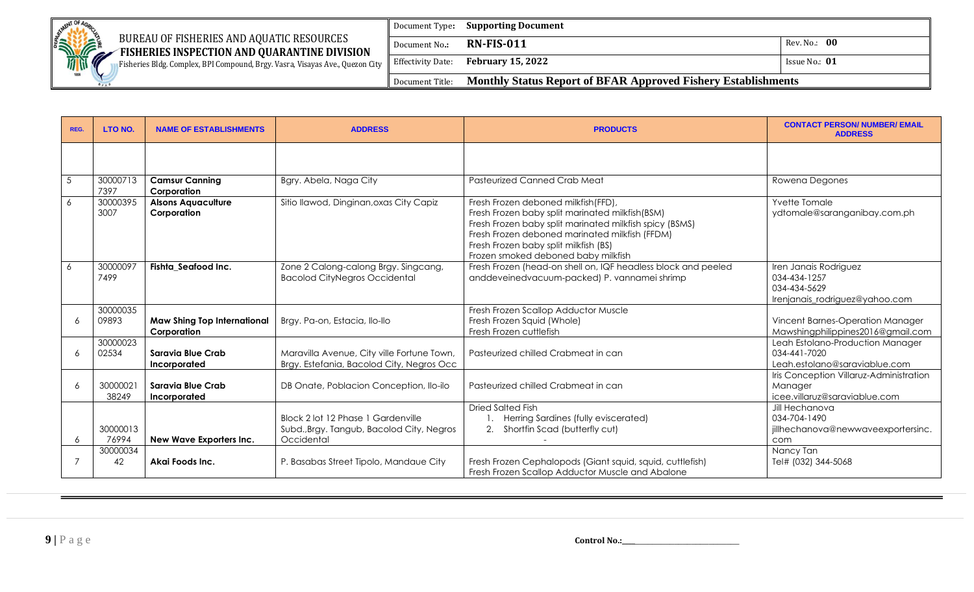

Fisheries Bldg. Complex, BPI Compound, Brgy. Vasra, Visayas Ave., Quezon City

|               | Document Type: Supporting Document                                            |                 |
|---------------|-------------------------------------------------------------------------------|-----------------|
| Document No.: | <b>RN-FIS-011</b>                                                             | Rev. No.: 00    |
|               | Effectivity Date: <b>February 15, 2022</b>                                    | Issue No.: $01$ |
|               | Document Title: Monthly Status Report of BFAR Approved Fishery Establishments |                 |

| REG.       | LTO NO.           | <b>NAME OF ESTABLISHMENTS</b>                     | <b>ADDRESS</b>                                                                                | <b>PRODUCTS</b>                                                                                                                                                                                                                                                                     | <b>CONTACT PERSON/ NUMBER/ EMAIL</b><br><b>ADDRESS</b>                                  |
|------------|-------------------|---------------------------------------------------|-----------------------------------------------------------------------------------------------|-------------------------------------------------------------------------------------------------------------------------------------------------------------------------------------------------------------------------------------------------------------------------------------|-----------------------------------------------------------------------------------------|
|            |                   |                                                   |                                                                                               |                                                                                                                                                                                                                                                                                     |                                                                                         |
| $\sqrt{5}$ | 30000713<br>7397  | <b>Camsur Canning</b><br>Corporation              | Bgry. Abela, Naga City                                                                        | <b>Pasteurized Canned Crab Meat</b>                                                                                                                                                                                                                                                 | Rowena Degones                                                                          |
| 6          | 30000395<br>3007  | <b>Alsons Aquaculture</b><br>Corporation          | Sitio Ilawod, Dinginan, oxas City Capiz                                                       | Fresh Frozen deboned milkfish(FFD),<br>Fresh Frozen baby split marinated milkfish(BSM)<br>Fresh Frozen baby split marinated milkfish spicy (BSMS)<br>Fresh Frozen deboned marinated milkfish (FFDM)<br>Fresh Frozen baby split milkfish (BS)<br>Frozen smoked deboned baby milkfish | Yvette Tomale<br>ydtomale@saranganibay.com.ph                                           |
| 6          | 30000097<br>7499  | Fishta Seafood Inc.                               | Zone 2 Calong-calong Brgy. Singcang,<br><b>Bacolod CityNegros Occidental</b>                  | Fresh Frozen (head-on shell on, IQF headless block and peeled<br>anddeveinedvacuum-packed) P. vannamei shrimp                                                                                                                                                                       | Iren Janais Rodriguez<br>034-434-1257<br>034-434-5629<br>Irenjanais_rodriguez@yahoo.com |
| 6          | 30000035<br>09893 | <b>Maw Shing Top International</b><br>Corporation | Brgy. Pa-on, Estacia, Ilo-Ilo                                                                 | Fresh Frozen Scallop Adductor Muscle<br>Fresh Frozen Squid (Whole)<br>Fresh Frozen cuttlefish                                                                                                                                                                                       | Vincent Barnes-Operation Manager<br>Mawshingphilippines2016@gmail.com                   |
| 6          | 30000023<br>02534 | Saravia Blue Crab<br>Incorporated                 | Maravilla Avenue, City ville Fortune Town,<br>Brgy. Estefania, Bacolod City, Negros Occ       | Pasteurized chilled Crabmeat in can                                                                                                                                                                                                                                                 | Leah Estolano-Production Manager<br>034-441-7020<br>Leah.estolano@saraviablue.com       |
| 6          | 3000002<br>38249  | Saravia Blue Crab<br>Incorporated                 | DB Onate, Poblacion Conception, Ilo-ilo                                                       | Pasteurized chilled Crabmeat in can                                                                                                                                                                                                                                                 | Iris Conception Villaruz-Administration<br>Manager<br>icee.villaruz@saraviablue.com     |
| 6          | 30000013<br>76994 | New Wave Exporters Inc.                           | Block 2 lot 12 Phase 1 Gardenville<br>Subd., Brgy. Tangub, Bacolod City, Negros<br>Occidental | <b>Dried Salted Fish</b><br>Herring Sardines (fully eviscerated)<br>Shortfin Scad (butterfly cut)<br>2.                                                                                                                                                                             | Jill Hechanova<br>034-704-1490<br>jillhechanova@newwaveexportersinc.<br>com             |
|            | 30000034<br>42    | Akai Foods Inc.                                   | P. Basabas Street Tipolo, Mandaue City                                                        | Fresh Frozen Cephalopods (Giant squid, squid, cuttlefish)<br>Fresh Frozen Scallop Adductor Muscle and Abalone                                                                                                                                                                       | Nancy Tan<br>Tel# (032) 344-5068                                                        |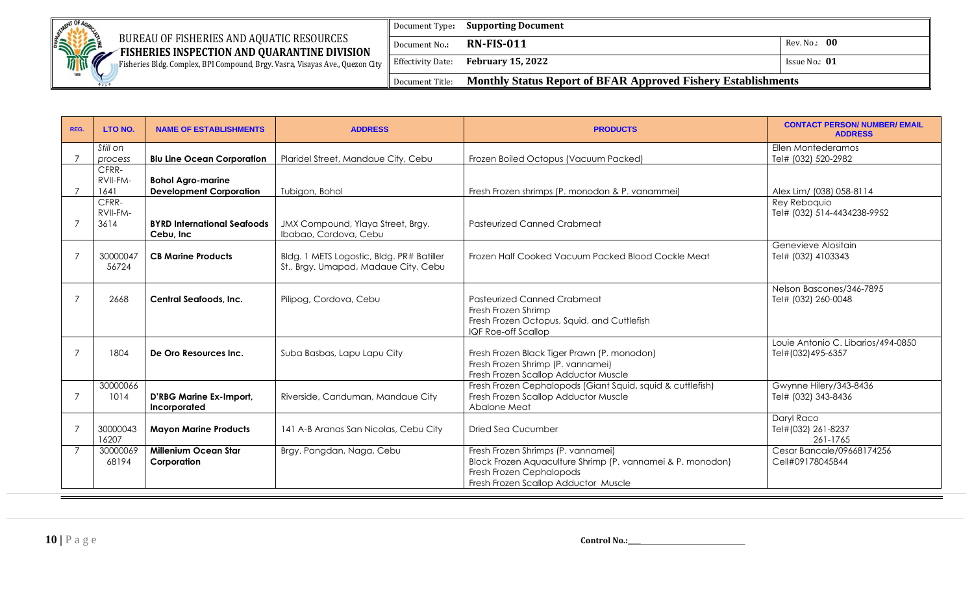

Fisheries Bldg. Complex, BPI Compound, Brgy. Vasra, Visayas Ave., Quezon City

|                 | Document Type: <b>Supporting Document</b>                            |               |  |
|-----------------|----------------------------------------------------------------------|---------------|--|
| Document No.:   | <b>RN-FIS-011</b>                                                    | Rev. No.: 00  |  |
|                 | Effectivity Date: <b>February 15, 2022</b>                           | Issue No.: 01 |  |
| Document Title: | <b>Monthly Status Report of BFAR Approved Fishery Establishments</b> |               |  |

| REG.           | <b>LTO NO.</b>            | <b>NAME OF ESTABLISHMENTS</b>                              | <b>ADDRESS</b>                                                                    | <b>PRODUCTS</b>                                                                                                                                                      | <b>CONTACT PERSON/ NUMBER/ EMAIL</b><br><b>ADDRESS</b>  |
|----------------|---------------------------|------------------------------------------------------------|-----------------------------------------------------------------------------------|----------------------------------------------------------------------------------------------------------------------------------------------------------------------|---------------------------------------------------------|
|                | Still on<br>process       | <b>Blu Line Ocean Corporation</b>                          | Plaridel Street, Mandaue City, Cebu                                               | Frozen Boiled Octopus (Vacuum Packed)                                                                                                                                | Ellen Montederamos<br>Tel# (032) 520-2982               |
|                | CFRR-<br>RVII-FM-<br>1641 | <b>Bohol Agro-marine</b><br><b>Development Corporation</b> | Tubigon, Bohol                                                                    | Fresh Frozen shrimps (P. monodon & P. vanammei)                                                                                                                      | Alex Lim/ (038) 058-8114                                |
|                | CFRR-<br>RVII-FM-<br>3614 | <b>BYRD International Seafoods</b><br>Cebu, Inc            | JMX Compound, Ylaya Street, Brgy.<br>Ibabao, Cordova, Cebu                        | <b>Pasteurized Canned Crabmeat</b>                                                                                                                                   | Rey Reboquio<br>Tel# (032) 514-4434238-9952             |
| 7              | 30000047<br>56724         | <b>CB Marine Products</b>                                  | Bldg. 1 METS Logostic, Bldg. PR# Batiller<br>St., Brgy. Umapad, Madaue City, Cebu | Frozen Half Cooked Vacuum Packed Blood Cockle Meat                                                                                                                   | Genevieve Alositain<br>Tel# (032) 4103343               |
|                | 2668                      | <b>Central Seafoods, Inc.</b>                              | Pilipog, Cordova, Cebu                                                            | <b>Pasteurized Canned Crabmeat</b><br>Fresh Frozen Shrimp<br>Fresh Frozen Octopus, Squid, and Cuttlefish<br><b>IQF Roe-off Scallop</b>                               | Nelson Bascones/346-7895<br>Tel# (032) 260-0048         |
|                | 1804                      | De Oro Resources Inc.                                      | Suba Basbas, Lapu Lapu City                                                       | Fresh Frozen Black Tiger Prawn (P. monodon)<br>Fresh Frozen Shrimp (P. vannamei)<br>Fresh Frozen Scallop Adductor Muscle                                             | Louie Antonio C. Libarios/494-0850<br>Tel#(032)495-6357 |
|                | 30000066<br>1014          | D'RBG Marine Ex-Import,<br>Incorporated                    | Riverside, Canduman, Mandaue City                                                 | Fresh Frozen Cephalopods (Giant Squid, squid & cuttlefish)<br>Fresh Frozen Scallop Adductor Muscle<br>Abalone Meat                                                   | Gwynne Hilery/343-8436<br>Tel# (032) 343-8436           |
|                | 30000043<br>16207         | <b>Mayon Marine Products</b>                               | 141 A-B Aranas San Nicolas, Cebu City                                             | <b>Dried Sea Cucumber</b>                                                                                                                                            | Daryl Raco<br>Tel#(032) 261-8237<br>261-1765            |
| $\overline{7}$ | 30000069<br>68194         | <b>Millenium Ocean Star</b><br>Corporation                 | Brgy. Pangdan, Naga, Cebu                                                         | Fresh Frozen Shrimps (P. vannamei)<br>Block Frozen Aquaculture Shrimp (P. vannamei & P. monodon)<br>Fresh Frozen Cephalopods<br>Fresh Frozen Scallop Adductor Muscle | Cesar Bancale/09668174256<br>Cell#09178045844           |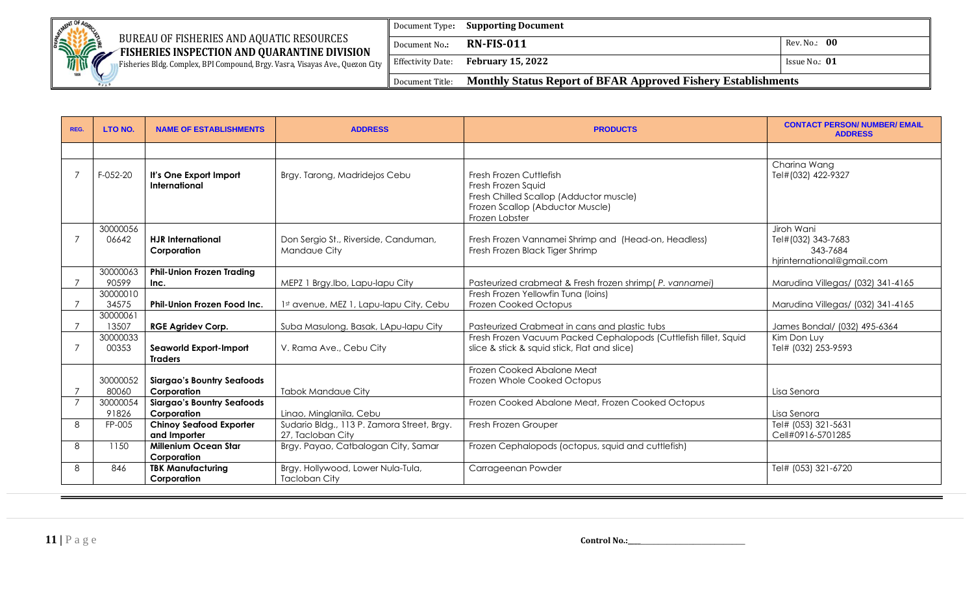

Fisheries Bldg. Complex, BPI Compound, Brgy. Vasra, Visayas Ave., Quezon City

|                 | Document Type: <b>Supporting Document</b>                            |                 |
|-----------------|----------------------------------------------------------------------|-----------------|
| Document No.:   | $RN$ -FIS-011                                                        | Rev. No.: 00    |
|                 | Effectivity Date: <b>February 15, 2022</b>                           | Issue No.: $01$ |
| Document Title: | <b>Monthly Status Report of BFAR Approved Fishery Establishments</b> |                 |

| REG.           | LTO NO.           | <b>NAME OF ESTABLISHMENTS</b>                    | <b>ADDRESS</b>                                                  | <b>PRODUCTS</b>                                                                                                                                | <b>CONTACT PERSON/ NUMBER/ EMAIL</b><br><b>ADDRESS</b>                     |
|----------------|-------------------|--------------------------------------------------|-----------------------------------------------------------------|------------------------------------------------------------------------------------------------------------------------------------------------|----------------------------------------------------------------------------|
|                |                   |                                                  |                                                                 |                                                                                                                                                |                                                                            |
|                | F-052-20          | It's One Export Import<br>International          | Brgy. Tarong, Madridejos Cebu                                   | Fresh Frozen Cuttlefish<br>Fresh Frozen Squid<br>Fresh Chilled Scallop (Adductor muscle)<br>Frozen Scallop (Abductor Muscle)<br>Frozen Lobster | Charina Wang<br>Tel#(032) 422-9327                                         |
|                | 30000056<br>06642 | <b>HJR</b> International<br>Corporation          | Don Sergio St., Riverside, Canduman,<br>Mandaue City            | Fresh Frozen Vannamei Shrimp and (Head-on, Headless)<br>Fresh Frozen Black Tiger Shrimp                                                        | Jiroh Wani<br>Tel#(032) 343-7683<br>343-7684<br>hjrinternational@gmail.com |
|                | 30000063          | <b>Phil-Union Frozen Trading</b>                 |                                                                 |                                                                                                                                                |                                                                            |
|                | 90599<br>30000010 | Inc.                                             | MEPZ 1 Brgy.Ibo, Lapu-lapu City                                 | Pasteurized crabmeat & Fresh frozen shrimp(P. vannamei)<br>Fresh Frozen Yellowfin Tuna (Ioins)                                                 | Marudina Villegas/ (032) 341-4165                                          |
|                | 34575             | <b>Phil-Union Frozen Food Inc.</b>               | 1st avenue, MEZ 1, Lapu-lapu City, Cebu                         | Frozen Cooked Octopus                                                                                                                          | Marudina Villegas/ (032) 341-4165                                          |
|                | 30000061<br>13507 | <b>RGE Agridev Corp.</b>                         | Suba Masulong, Basak, LApu-lapu City                            | Pasteurized Crabmeat in cans and plastic tubs                                                                                                  | James Bondal/ (032) 495-6364                                               |
|                | 30000033<br>00353 | Seaworld Export-Import<br><b>Traders</b>         | V. Rama Ave., Cebu City                                         | Fresh Frozen Vacuum Packed Cephalopods (Cuttlefish fillet, Squid<br>slice & stick & squid stick, Flat and slice)                               | Kim Don Luy<br>Tel# (032) 253-9593                                         |
|                | 30000052          | <b>Siargao's Bountry Seafoods</b>                |                                                                 | Frozen Cooked Abalone Meat<br>Frozen Whole Cooked Octopus                                                                                      |                                                                            |
|                | 80060             | Corporation                                      | <b>Tabok Mandaue City</b>                                       |                                                                                                                                                | Lisa Senora                                                                |
| $\overline{7}$ | 30000054<br>91826 | <b>Siargao's Bountry Seafoods</b><br>Corporation | Linao, Minglanila, Cebu                                         | Frozen Cooked Abalone Meat, Frozen Cooked Octopus                                                                                              | Lisa Senora                                                                |
| 8              | FP-005            | <b>Chinoy Seafood Exporter</b><br>and Importer   | Sudario Bldg., 113 P. Zamora Street, Brgy.<br>27, Tacloban City | Fresh Frozen Grouper                                                                                                                           | Tel# (053) 321-5631<br>Cell#0916-5701285                                   |
| 8              | 1150              | <b>Millenium Ocean Star</b><br>Corporation       | Brgy. Payao, Catbalogan City, Samar                             | Frozen Cephalopods (octopus, squid and cuttlefish)                                                                                             |                                                                            |
| 8              | 846               | <b>TBK Manufacturing</b><br>Corporation          | Brgy. Hollywood, Lower Nula-Tula,<br><b>Tacloban City</b>       | Carrageenan Powder                                                                                                                             | Tel# (053) 321-6720                                                        |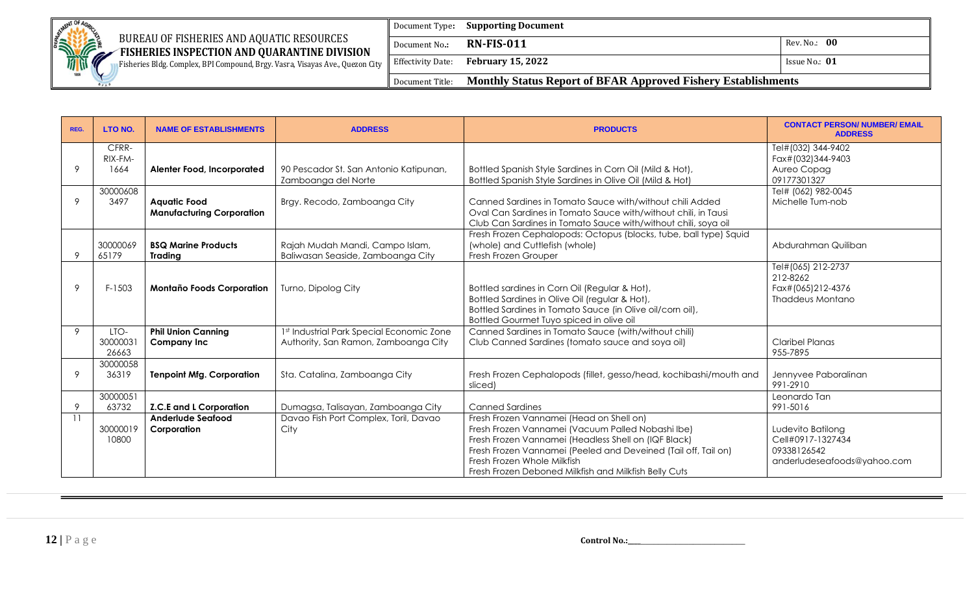

## $\mathbb{R}$  BUREAU OF FISHERIES AND AQUATIC RESOURCES

**EXAMPLE FISHERIES INSPECTION AND QUARANTINE DIVISION** Fisheries Bldg. Complex, BPI Compound, Brgy. Vasra, Visayas Ave., Quezon City

|               | Document Type: <b>Supporting Document</b>                                     |                 |
|---------------|-------------------------------------------------------------------------------|-----------------|
| Document No.: | <b>RN-FIS-011</b>                                                             | Rev. No.: 00    |
|               | Effectivity Date: February 15, 2022                                           | Issue No.: $01$ |
|               | Document Title: Monthly Status Report of BFAR Approved Fishery Establishments |                 |

| REG. | <b>LTO NO.</b>           | <b>NAME OF ESTABLISHMENTS</b>                           | <b>ADDRESS</b>                                                                    | <b>PRODUCTS</b>                                                                                                                                                                                                                                                                                                 | <b>CONTACT PERSON/ NUMBER/ EMAIL</b><br><b>ADDRESS</b>                               |
|------|--------------------------|---------------------------------------------------------|-----------------------------------------------------------------------------------|-----------------------------------------------------------------------------------------------------------------------------------------------------------------------------------------------------------------------------------------------------------------------------------------------------------------|--------------------------------------------------------------------------------------|
| 9    | CFRR-<br>RIX-FM-<br>1664 | <b>Alenter Food, Incorporated</b>                       | 90 Pescador St. San Antonio Katipunan,<br>Zamboanga del Norte                     | Bottled Spanish Style Sardines in Corn Oil (Mild & Hot),<br>Bottled Spanish Style Sardines in Olive Oil (Mild & Hot)                                                                                                                                                                                            | Tel#(032) 344-9402<br>Fax#(032)344-9403<br>Aureo Copag<br>09177301327                |
| 9    | 30000608<br>3497         | <b>Aquatic Food</b><br><b>Manufacturing Corporation</b> | Brgy. Recodo, Zamboanga City                                                      | Canned Sardines in Tomato Sauce with/without chili Added<br>Oval Can Sardines in Tomato Sauce with/without chili, in Tausi<br>Club Can Sardines in Tomato Sauce with/without chili, soya oil                                                                                                                    | Tel# (062) 982-0045<br>Michelle Tum-nob                                              |
| 9    | 30000069<br>65179        | <b>BSQ Marine Products</b><br><b>Trading</b>            | Rajah Mudah Mandi, Campo Islam,<br>Baliwasan Seaside, Zamboanga City              | Fresh Frozen Cephalopods: Octopus (blocks, tube, ball type) Squid<br>(whole) and Cuttlefish (whole)<br>Fresh Frozen Grouper                                                                                                                                                                                     | Abdurahman Quiliban                                                                  |
| 9    | $F-1503$                 | <b>Montaño Foods Corporation</b>                        | Turno, Dipolog City                                                               | Bottled sardines in Corn Oil (Regular & Hot),<br>Bottled Sardines in Olive Oil (regular & Hot),<br>Bottled Sardines in Tomato Sauce (in Olive oil/corn oil),<br>Bottled Gourmet Tuyo spiced in olive oil                                                                                                        | Tel#(065) 212-2737<br>212-8262<br>Fax#(065)212-4376<br>Thaddeus Montano              |
| 9    | LTO-<br>3000003<br>26663 | <b>Phil Union Canning</b><br><b>Company Inc</b>         | 1st Industrial Park Special Economic Zone<br>Authority, San Ramon, Zamboanga City | Canned Sardines in Tomato Sauce (with/without chili)<br>Club Canned Sardines (tomato sauce and soya oil)                                                                                                                                                                                                        | Claribel Planas<br>955-7895                                                          |
| 9    | 30000058<br>36319        | <b>Tenpoint Mfg. Corporation</b>                        | Sta. Catalina, Zamboanga City                                                     | Fresh Frozen Cephalopods (fillet, gesso/head, kochibashi/mouth and<br>sliced)                                                                                                                                                                                                                                   | Jennyvee Paboralinan<br>991-2910                                                     |
| 9    | 30000051<br>63732        | <b>Z.C.E and L Corporation</b>                          | Dumagsa, Talisayan, Zamboanga City                                                | <b>Canned Sardines</b>                                                                                                                                                                                                                                                                                          | Leonardo Tan<br>991-5016                                                             |
|      | 30000019<br>10800        | Anderlude Seafood<br>Corporation                        | Davao Fish Port Complex, Toril, Davao<br>City                                     | Fresh Frozen Vannamei (Head on Shell on)<br>Fresh Frozen Vannamei (Vacuum Palled Nobashi Ibe)<br>Fresh Frozen Vannamei (Headless Shell on (IQF Black)<br>Fresh Frozen Vannamei (Peeled and Deveined (Tail off, Tail on)<br>Fresh Frozen Whole Milkfish<br>Fresh Frozen Deboned Milkfish and Milkfish Belly Cuts | Ludevito Batilong<br>Cell#0917-1327434<br>09338126542<br>anderludeseafoods@yahoo.com |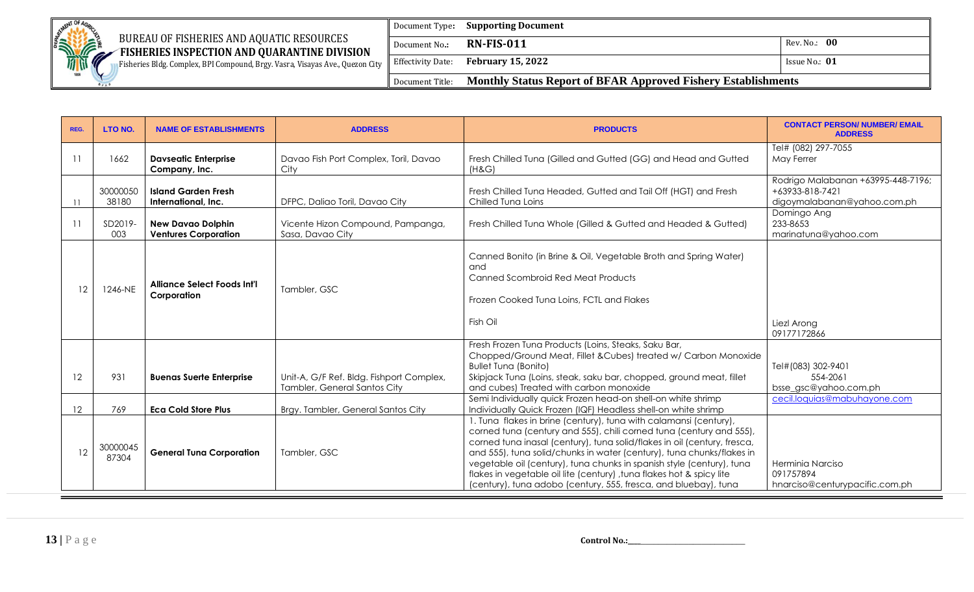

# BUREAU OF FISHERIES AND AQUATIC RESOURCES

**EXAMPLE FISHERIES INSPECTION AND QUARANTINE DIVISION** Fisheries Bldg. Complex, BPI Compound, Brgy. Vasra, Visayas Ave., Quezon City

Document Type**: Supporting Document** Document No**.: RN-FIS-011** Rev. No.: **00**  Effectivity Date: **February 15, 2022 ISSUE NO.: 01 ISSUE NO.: 01** Document Title: **Monthly Status Report of BFAR Approved Fishery Establishments**

| REG.              | LTO NO.           | <b>NAME OF ESTABLISHMENTS</b>                           | <b>ADDRESS</b>                                                           | <b>PRODUCTS</b>                                                                                                                                                                                                                                                                                                                                                                                                                                                                                                  | <b>CONTACT PERSON/ NUMBER/ EMAIL</b><br><b>ADDRESS</b>                               |
|-------------------|-------------------|---------------------------------------------------------|--------------------------------------------------------------------------|------------------------------------------------------------------------------------------------------------------------------------------------------------------------------------------------------------------------------------------------------------------------------------------------------------------------------------------------------------------------------------------------------------------------------------------------------------------------------------------------------------------|--------------------------------------------------------------------------------------|
|                   | 1662              | <b>Davseatic Enterprise</b><br>Company, Inc.            | Davao Fish Port Complex, Toril, Davao<br>City                            | Fresh Chilled Tuna (Gilled and Gutted (GG) and Head and Gutted<br>(H&G)                                                                                                                                                                                                                                                                                                                                                                                                                                          | Tel# (082) 297-7055<br>May Ferrer                                                    |
| $\overline{11}$   | 30000050<br>38180 | <b>Island Garden Fresh</b><br>International, Inc.       | DFPC, Daliao Toril, Davao City                                           | Fresh Chilled Tuna Headed, Gutted and Tail Off (HGT) and Fresh<br>Chilled Tuna Loins                                                                                                                                                                                                                                                                                                                                                                                                                             | Rodrigo Malabanan +63995-448-7196;<br>+63933-818-7421<br>digoymalabanan@yahoo.com.ph |
|                   | SD2019-<br>003    | <b>New Davao Dolphin</b><br><b>Ventures Corporation</b> | Vicente Hizon Compound, Pampanga,<br>Sasa, Davao City                    | Fresh Chilled Tuna Whole (Gilled & Gutted and Headed & Gutted)                                                                                                                                                                                                                                                                                                                                                                                                                                                   | Domingo Ang<br>233-8653<br>marinatuna@yahoo.com                                      |
| 12                | 1246-NE           | <b>Alliance Select Foods Int'l</b><br>Corporation       | Tambler, GSC                                                             | Canned Bonito (in Brine & Oil, Vegetable Broth and Spring Water)<br>and<br><b>Canned Scombroid Red Meat Products</b><br>Frozen Cooked Tuna Loins, FCTL and Flakes<br>Fish Oil                                                                                                                                                                                                                                                                                                                                    | Liezl Arong<br>09177172866                                                           |
| $12 \overline{ }$ | 931               | <b>Buenas Suerte Enterprise</b>                         | Unit-A, G/F Ref. Bldg. Fishport Complex,<br>Tambler, General Santos City | Fresh Frozen Tuna Products (Loins, Steaks, Saku Bar,<br>Chopped/Ground Meat, Fillet & Cubes) treated w/ Carbon Monoxide<br><b>Bullet Tuna (Bonito)</b><br>Skipjack Tuna (Loins, steak, saku bar, chopped, ground meat, fillet<br>and cubes) Treated with carbon monoxide                                                                                                                                                                                                                                         | Tel#(083) 302-9401<br>554-2061<br>bsse_gsc@yahoo.com.ph                              |
| 12                | 769               | <b>Eca Cold Store Plus</b>                              | Brgy. Tambler, General Santos City                                       | Semi Individually quick Frozen head-on shell-on white shrimp<br>Individually Quick Frozen (IQF) Headless shell-on white shrimp                                                                                                                                                                                                                                                                                                                                                                                   | cecil.loquias@mabuhayone.com                                                         |
| 12                | 30000045<br>87304 | <b>General Tuna Corporation</b>                         | Tambler, GSC                                                             | . Tuna flakes in brine (century), tuna with calamansi (century),<br>corned tuna (century and 555), chili corned tuna (century and 555),<br>corned tuna inasal (century), tuna solid/flakes in oil (century, fresca,<br>and 555), tuna solid/chunks in water (century), tuna chunks/flakes in<br>vegetable oil (century), tuna chunks in spanish style (century), tuna<br>flakes in vegetable oil lite (century), tuna flakes hot & spicy lite<br>(century), tuna adobo (century, 555, fresca, and bluebay), tuna | Herminia Narciso<br>091757894<br>hnarciso@centurypacific.com.ph                      |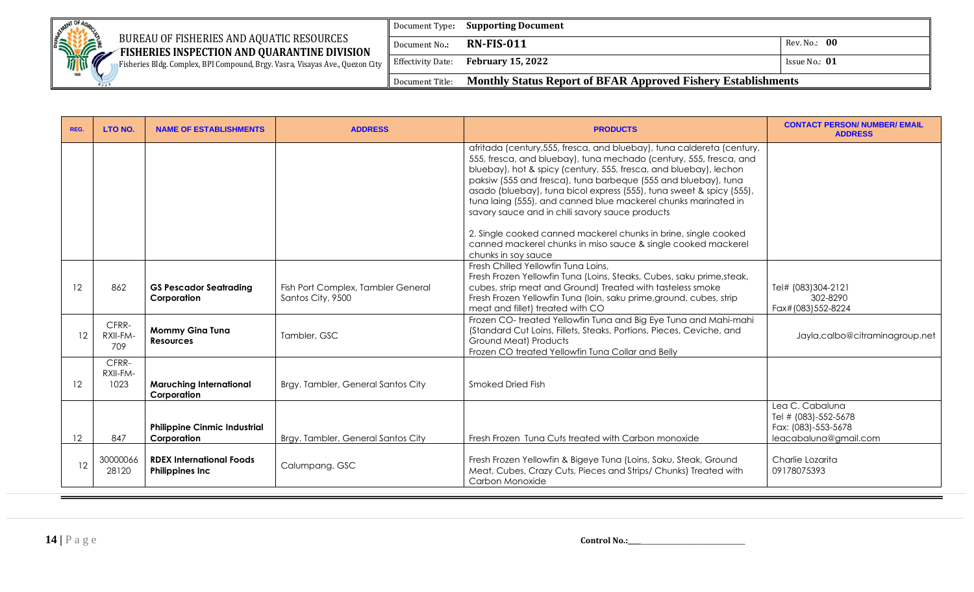| <b>MENT OF A</b>     |                                                                                           | Document Type:                | <b>Supporting Document</b>                                           |                 |
|----------------------|-------------------------------------------------------------------------------------------|-------------------------------|----------------------------------------------------------------------|-----------------|
| <b>SERVICE STATE</b> | BUREAU OF FISHERIES AND AQUATIC RESOURCES<br>FISHERIES INSPECTION AND QUARANTINE DIVISION | Document No.:                 | <b>RN-FIS-011</b>                                                    | Rev. No.: 00    |
|                      | Fisheries Bldg. Complex, BPI Compound, Brgy. Vasra, Visayas Ave., Quezon City             | $\parallel$ Effectivity Date: | <b>February 15, 2022</b>                                             | Issue No.: $01$ |
| 1898                 |                                                                                           | Document Title:               | <b>Monthly Status Report of BFAR Approved Fishery Establishments</b> |                 |

| REG.    | LTO NO.                   | <b>NAME OF ESTABLISHMENTS</b>                             | <b>ADDRESS</b>                                          | <b>PRODUCTS</b>                                                                                                                                                                                                                                                                                                                                                                                                                                                                  | <b>CONTACT PERSON/ NUMBER/ EMAIL</b><br><b>ADDRESS</b>                                  |
|---------|---------------------------|-----------------------------------------------------------|---------------------------------------------------------|----------------------------------------------------------------------------------------------------------------------------------------------------------------------------------------------------------------------------------------------------------------------------------------------------------------------------------------------------------------------------------------------------------------------------------------------------------------------------------|-----------------------------------------------------------------------------------------|
|         |                           |                                                           |                                                         | afritada (century, 555, fresca, and bluebay), tuna caldereta (century,<br>555, fresca, and bluebay), tuna mechado (century, 555, fresca, and<br>bluebay), hot & spicy (century, 555, fresca, and bluebay), lechon<br>paksiw (555 and fresca), tuna barbeque (555 and bluebay), tuna<br>asado (bluebay), tuna bicol express (555), tuna sweet & spicy (555),<br>tuna laing (555), and canned blue mackerel chunks marinated in<br>savory sauce and in chili savory sauce products |                                                                                         |
|         |                           |                                                           |                                                         | 2. Single cooked canned mackerel chunks in brine, single cooked<br>canned mackerel chunks in miso sauce & single cooked mackerel<br>chunks in soy sauce                                                                                                                                                                                                                                                                                                                          |                                                                                         |
| 12      | 862                       | <b>GS Pescador Seatrading</b><br>Corporation              | Fish Port Complex, Tambler General<br>Santos City, 9500 | Fresh Chilled Yellowfin Tuna Loins,<br>Fresh Frozen Yellowfin Tuna (Loins, Steaks, Cubes, saku prime, steak,<br>cubes, strip meat and Ground) Treated with tasteless smoke<br>Fresh Frozen Yellowfin Tuna (loin, saku prime, ground, cubes, strip<br>meat and fillet) treated with CO                                                                                                                                                                                            | Tel# (083)304-2121<br>302-8290<br>Fax#(083)552-8224                                     |
| 12      | CFRR-<br>RXII-FM-<br>709  | <b>Mommy Gina Tuna</b><br><b>Resources</b>                | Tambler, GSC                                            | Frozen CO-treated Yellowfin Tuna and Big Eye Tuna and Mahi-mahi<br>(Standard Cut Loins, Fillets, Steaks, Portions, Pieces, Ceviche, and<br><b>Ground Meat) Products</b><br>Frozen CO treated Yellowfin Tuna Collar and Belly                                                                                                                                                                                                                                                     | Jayla.calbo@citraminagroup.net                                                          |
| 12      | CFRR-<br>RXII-FM-<br>1023 | <b>Maruching International</b><br>Corporation             | Brgy. Tambler, General Santos City                      | Smoked Dried Fish                                                                                                                                                                                                                                                                                                                                                                                                                                                                |                                                                                         |
| $12 \,$ | 847                       | <b>Philippine Cinmic Industrial</b><br>Corporation        | Brgy. Tambler, General Santos City                      | Fresh Frozen Tuna Cuts treated with Carbon monoxide                                                                                                                                                                                                                                                                                                                                                                                                                              | Lea C. Cabaluna<br>Tel # (083)-552-5678<br>Fax: (083)-553-5678<br>leacabaluna@gmail.com |
| 12      | 30000066<br>28120         | <b>RDEX International Foods</b><br><b>Philippines Inc</b> | Calumpang, GSC                                          | Fresh Frozen Yellowfin & Bigeye Tuna (Loins, Saku, Steak, Ground<br>Meat, Cubes, Crazy Cuts, Pieces and Strips/ Chunks) Treated with<br>Carbon Monoxide                                                                                                                                                                                                                                                                                                                          | Charlie Lozarita<br>09178075393                                                         |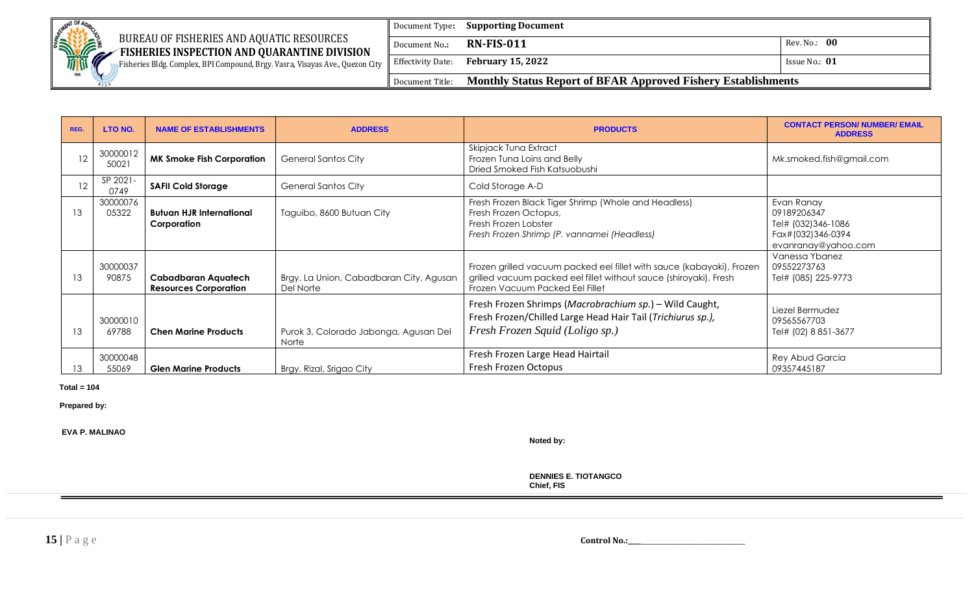

Fisheries Bldg. Complex, BPI Compound, Brgy. Vasra, Visayas Ave., Quezon City

|                 | Document Type: <b>Supporting Document</b>                            |                 |
|-----------------|----------------------------------------------------------------------|-----------------|
| Document No.:   | <b>RN-FIS-011</b>                                                    | Rev. No.: 00    |
|                 | Effectivity Date: February 15, 2022                                  | Issue No.: $01$ |
| Document Title: | <b>Monthly Status Report of BFAR Approved Fishery Establishments</b> |                 |

| REG. | LTO NO.           | <b>NAME OF ESTABLISHMENTS</b>                       | <b>ADDRESS</b>                                       | <b>PRODUCTS</b>                                                                                                                                                               | <b>CONTACT PERSON/ NUMBER/ EMAIL</b><br><b>ADDRESS</b>                                      |
|------|-------------------|-----------------------------------------------------|------------------------------------------------------|-------------------------------------------------------------------------------------------------------------------------------------------------------------------------------|---------------------------------------------------------------------------------------------|
| 12   | 30000012<br>50021 | <b>MK Smoke Fish Corporation</b>                    | <b>General Santos City</b>                           | Skipjack Tuna Extract<br>Frozen Tuna Loins and Belly<br>Dried Smoked Fish Katsuobushi                                                                                         | Mk.smoked.fish@gmail.com                                                                    |
| 12   | SP 2021-<br>0749  | <b>SAFII Cold Storage</b>                           | <b>General Santos City</b>                           | Cold Storage A-D                                                                                                                                                              |                                                                                             |
| 13   | 30000076<br>05322 | <b>Butuan HJR International</b><br>Corporation      | Taguibo, 8600 Butuan City                            | Fresh Frozen Black Tiger Shrimp (Whole and Headless)<br>Fresh Frozen Octopus,<br>Fresh Frozen Lobster<br>Fresh Frozen Shrimp (P. vannamei (Headless)                          | Evan Ranay<br>09189206347<br>Tel# (032)346-1086<br>Fax#(032)346-0394<br>evanranay@yahoo.com |
| 13   | 30000037<br>90875 | Cabadbaran Aquatech<br><b>Resources Corporation</b> | Brgy. La Union, Cabadbaran City, Agusan<br>Del Norte | Frozen grilled vacuum packed eel fillet with sauce (kabayaki), Frozen<br>grilled vacuum packed eel fillet without sauce (shiroyaki), Fresh<br>Frozen Vacuum Packed Eel Fillet | Vanessa Ybanez<br>09552273763<br>Tel# (085) 225-9773                                        |
| 13   | 30000010<br>69788 | <b>Chen Marine Products</b>                         | Purok 3, Colorado Jabonga, Agusan Del<br>Norte       | Fresh Frozen Shrimps (Macrobrachium sp.) - Wild Caught,<br>Fresh Frozen/Chilled Large Head Hair Tail (Trichiurus sp.),<br>Fresh Frozen Squid (Loligo sp.)                     | Liezel Bermudez<br>09565567703<br>Tel# (02) 8 851-3677                                      |
| 13   | 30000048<br>55069 | <b>Glen Marine Products</b>                         | Brgy. Rizal, Srigao City                             | Fresh Frozen Large Head Hairtail<br>Fresh Frozen Octopus                                                                                                                      | Rey Abud Garcia<br>09357445187                                                              |

#### **Total = 104**

 **Prepared by:**

 **EVA P. MALINAO**

**Noted by:**

**DENNIES E. TIOTANGCO Chief, FIS**